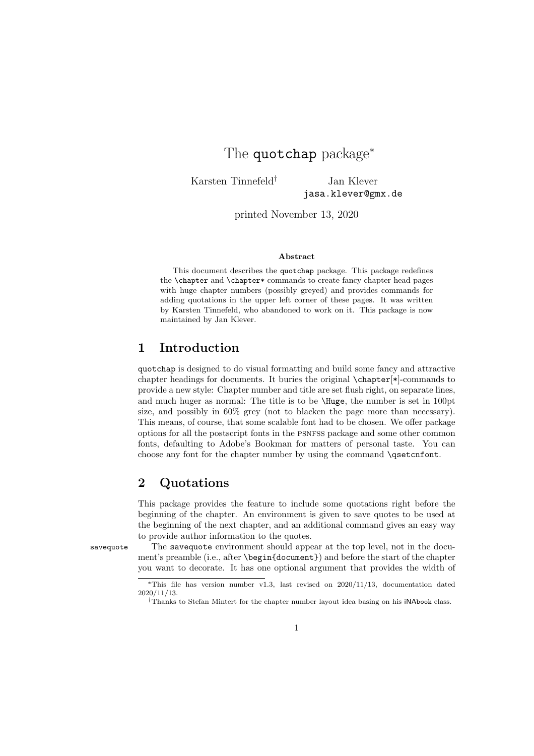# The quotchap package<sup>\*</sup>

Karsten Tinnefeld<sup>†</sup> Jan Klever jasa.klever@gmx.de

printed November 13, 2020

#### Abstract

This document describes the quotchap package. This package redefines the \chapter and \chapter\* commands to create fancy chapter head pages with huge chapter numbers (possibly greyed) and provides commands for adding quotations in the upper left corner of these pages. It was written by Karsten Tinnefeld, who abandoned to work on it. This package is now maintained by Jan Klever.

### 1 Introduction

quotchap is designed to do visual formatting and build some fancy and attractive chapter headings for documents. It buries the original \chapter[\*]-commands to provide a new style: Chapter number and title are set flush right, on separate lines, and much huger as normal: The title is to be \Huge, the number is set in 100pt size, and possibly in 60% grey (not to blacken the page more than necessary). This means, of course, that some scalable font had to be chosen. We offer package options for all the postscript fonts in the psnfss package and some other common fonts, defaulting to Adobe's Bookman for matters of personal taste. You can choose any font for the chapter number by using the command **\qsetcnfont**.

### 2 Quotations

This package provides the feature to include some quotations right before the beginning of the chapter. An environment is given to save quotes to be used at the beginning of the next chapter, and an additional command gives an easy way to provide author information to the quotes.

savequote The savequote environment should appear at the top level, not in the document's preamble (i.e., after \begin{document}) and before the start of the chapter you want to decorate. It has one optional argument that provides the width of

<sup>∗</sup>This file has version number v1.3, last revised on 2020/11/13, documentation dated 2020/11/13.

<sup>†</sup>Thanks to Stefan Mintert for the chapter number layout idea basing on his iNAbook class.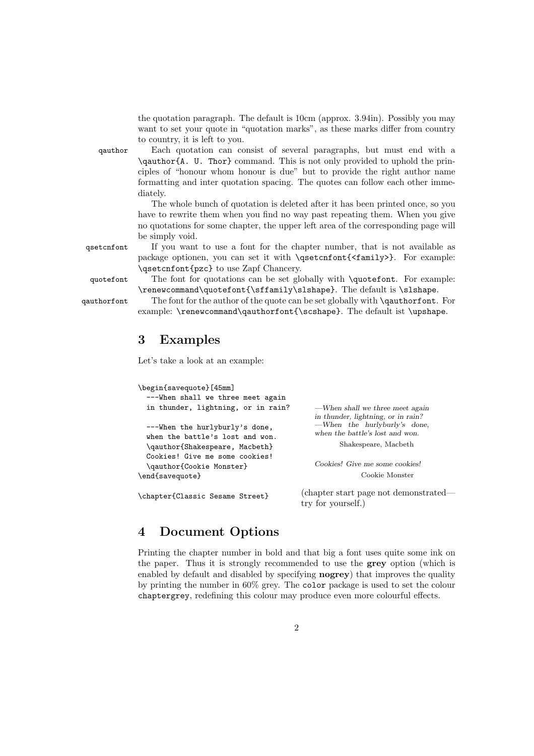the quotation paragraph. The default is 10cm (approx. 3.94in). Possibly you may want to set your quote in "quotation marks", as these marks differ from country to country, it is left to you.

qauthor Each quotation can consist of several paragraphs, but must end with a \qauthor{A. U. Thor} command. This is not only provided to uphold the principles of "honour whom honour is due" but to provide the right author name formatting and inter quotation spacing. The quotes can follow each other immediately.

> The whole bunch of quotation is deleted after it has been printed once, so you have to rewrite them when you find no way past repeating them. When you give no quotations for some chapter, the upper left area of the corresponding page will be simply void.

qsetcnfont If you want to use a font for the chapter number, that is not available as package optionen, you can set it with \qsetcnfont{<family>}. For example: \qsetcnfont{pzc} to use Zapf Chancery.

quotefont The font for quotations can be set globally with \quotefont. For example: \renewcommand\quotefont{\sffamily\slshape}. The default is \slshape.

qauthorfont The font for the author of the quote can be set globally with \qauthorfont. For example: \renewcommand\qauthorfont{\scshape}. The default ist \upshape.

### 3 Examples

Let's take a look at an example:

| \begin{savequote}[45mm]                                           |                                                                       |
|-------------------------------------------------------------------|-----------------------------------------------------------------------|
| ---When shall we three meet again                                 |                                                                       |
| in thunder, lightning, or in rain?                                | —When shall we three meet again<br>in thunder, lightning, or in rain? |
| ---When the hurlyburly's done,<br>when the battle's lost and won. | —When the hurlyburly's done,<br>when the battle's lost and won.       |
| \qauthor{Shakespeare, Macbeth}                                    | Shakespeare, Macbeth                                                  |
| Cookies! Give me some cookies!<br>\qauthor{Cookie Monster}        | Cookies! Give me some cookies!                                        |
| \end{savequote}                                                   | Cookie Monster                                                        |
| \chapter{Classic Sesame Street}                                   | (chapter start page not demonstrated—<br>try for yourself.)           |

## 4 Document Options

Printing the chapter number in bold and that big a font uses quite some ink on the paper. Thus it is strongly recommended to use the grey option (which is enabled by default and disabled by specifying nogrey) that improves the quality by printing the number in 60% grey. The color package is used to set the colour chaptergrey, redefining this colour may produce even more colourful effects.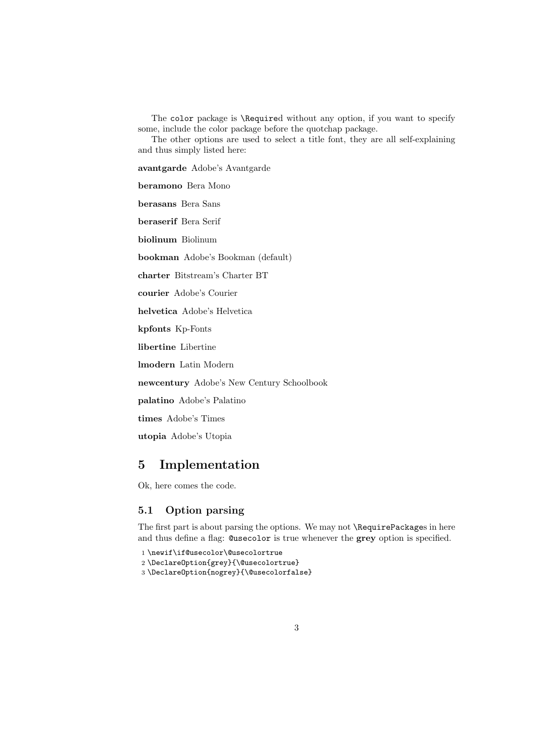The color package is \Required without any option, if you want to specify some, include the color package before the quotchap package.

The other options are used to select a title font, they are all self-explaining and thus simply listed here:

avantgarde Adobe's Avantgarde

beramono Bera Mono

berasans Bera Sans

beraserif Bera Serif

biolinum Biolinum

bookman Adobe's Bookman (default)

charter Bitstream's Charter BT

courier Adobe's Courier

helvetica Adobe's Helvetica

kpfonts Kp-Fonts

libertine Libertine

lmodern Latin Modern

newcentury Adobe's New Century Schoolbook

palatino Adobe's Palatino

times Adobe's Times

utopia Adobe's Utopia

### 5 Implementation

Ok, here comes the code.

### 5.1 Option parsing

The first part is about parsing the options. We may not **\RequirePackages** in here and thus define a flag: @usecolor is true whenever the grey option is specified.

1 \newif\if@usecolor\@usecolortrue

2 \DeclareOption{grey}{\@usecolortrue}

3 \DeclareOption{nogrey}{\@usecolorfalse}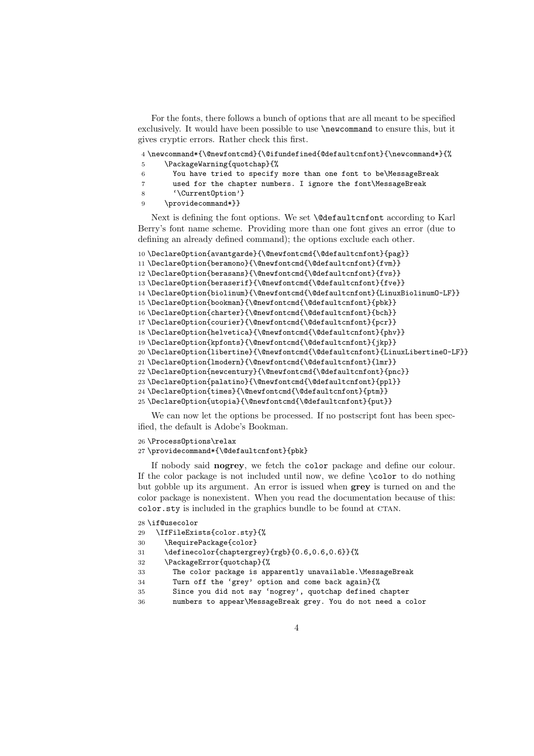For the fonts, there follows a bunch of options that are all meant to be specified exclusively. It would have been possible to use \newcommand to ensure this, but it gives cryptic errors. Rather check this first.

| 4 \newcommand*{\@newfontcmd}{\@ifundefined{@defaultcnfont}{\newcommand*}{% |
|----------------------------------------------------------------------------|
| \PackageWarning{quotchap}{%                                                |
|                                                                            |

- You have tried to specify more than one font to be\MessageBreak
- used for the chapter numbers. I ignore the font\MessageBreak
- '\CurrentOption'}
- \providecommand\*}}

Next is defining the font options. We set \@defaultcnfont according to Karl Berry's font name scheme. Providing more than one font gives an error (due to defining an already defined command); the options exclude each other.

```
10 \DeclareOption{avantgarde}{\@newfontcmd{\@defaultcnfont}{pag}}
11 \DeclareOption{beramono}{\@newfontcmd{\@defaultcnfont}{fvm}}
12 \DeclareOption{berasans}{\@newfontcmd{\@defaultcnfont}{fvs}}
13 \DeclareOption{beraserif}{\@newfontcmd{\@defaultcnfont}{fve}}
14 \DeclareOption{biolinum}{\@newfontcmd{\@defaultcnfont}{LinuxBiolinumO-LF}}
15 \DeclareOption{bookman}{\@newfontcmd{\@defaultcnfont}{pbk}}
16 \DeclareOption{charter}{\@newfontcmd{\@defaultcnfont}{bch}}
17 \DeclareOption{courier}{\@newfontcmd{\@defaultcnfont}{pcr}}
18 \DeclareOption{helvetica}{\@newfontcmd{\@defaultcnfont}{phv}}
19 \DeclareOption{kpfonts}{\@newfontcmd{\@defaultcnfont}{jkp}}
20 \DeclareOption{libertine}{\@newfontcmd{\@defaultcnfont}{LinuxLibertineO-LF}}
21 \DeclareOption{lmodern}{\@newfontcmd{\@defaultcnfont}{lmr}}
22 \DeclareOption{newcentury}{\@newfontcmd{\@defaultcnfont}{pnc}}
23 \DeclareOption{palatino}{\@newfontcmd{\@defaultcnfont}{ppl}}
24 \DeclareOption{times}{\@newfontcmd{\@defaultcnfont}{ptm}}
25 \DeclareOption{utopia}{\@newfontcmd{\@defaultcnfont}{put}}
```
We can now let the options be processed. If no postscript font has been specified, the default is Adobe's Bookman.

\ProcessOptions\relax

\providecommand\*{\@defaultcnfont}{pbk}

If nobody said nogrey, we fetch the color package and define our colour. If the color package is not included until now, we define \color to do nothing but gobble up its argument. An error is issued when grey is turned on and the color package is nonexistent. When you read the documentation because of this: color.sty is included in the graphics bundle to be found at CTAN.

```
28 \if@usecolor
```

```
29 \IfFileExists{color.sty}{%
```

```
30 \RequirePackage{color}
```

```
31 \definecolor{chaptergrey}{rgb}{0.6,0.6,0.6}}{%
```

```
32 \PackageError{quotchap}{%
```
- The color package is apparently unavailable.\MessageBreak
- Turn off the 'grey' option and come back again}{%
- Since you did not say 'nogrey', quotchap defined chapter
- numbers to appear\MessageBreak grey. You do not need a color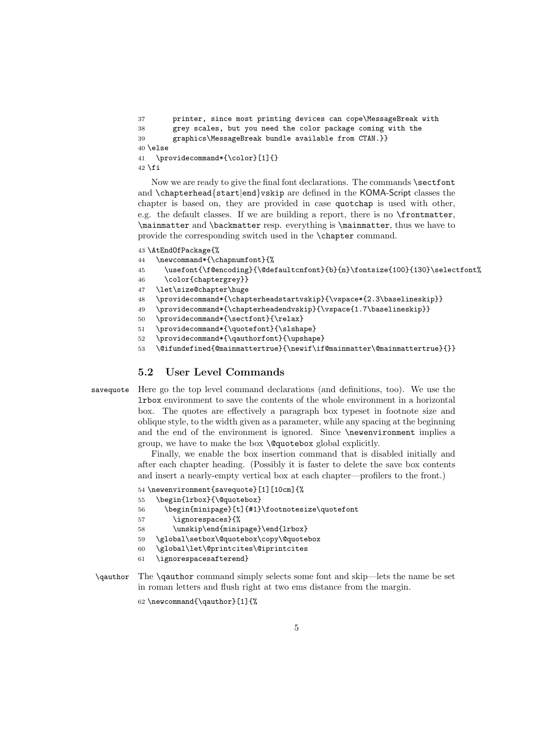```
37 printer, since most printing devices can cope\MessageBreak with
38 grey scales, but you need the color package coming with the
39 graphics\MessageBreak bundle available from CTAN.}}
40 \else
41 \providecommand*{\color}[1]{}
42 \fi
```
Now we are ready to give the final font declarations. The commands **\sectfont** and \chapterhead{start|end}vskip are defined in the KOMA-Script classes the chapter is based on, they are provided in case quotchap is used with other, e.g. the default classes. If we are building a report, there is no \frontmatter, \mainmatter and \backmatter resp. everything is \mainmatter, thus we have to provide the corresponding switch used in the \chapter command.

43 \AtEndOfPackage{%

- 44 \newcommand\*{\chapnumfont}{%
- $45 \label{thm:main} $$\usefont{\f@encoding}{\@default\nconf\bf{b}_{n}\fontsize{100}{130}\selectfont\selectfont}\;$
- 46 \color{chaptergrey}}
- 47 \let\size@chapter\huge
- 48 \providecommand\*{\chapterheadstartvskip}{\vspace\*{2.3\baselineskip}}
- 49 \providecommand\*{\chapterheadendvskip}{\vspace{1.7\baselineskip}}
- 50 \providecommand\*{\sectfont}{\relax}
- 51 \providecommand\*{\quotefont}{\slshape}
- 52 \providecommand\*{\qauthorfont}{\upshape}
- 53 \@ifundefined{@mainmattertrue}{\newif\if@mainmatter\@mainmattertrue}{}}

#### 5.2 User Level Commands

savequote Here go the top level command declarations (and definitions, too). We use the lrbox environment to save the contents of the whole environment in a horizontal box. The quotes are effectively a paragraph box typeset in footnote size and oblique style, to the width given as a parameter, while any spacing at the beginning and the end of the environment is ignored. Since **\newenvironment** implies a group, we have to make the box \@quotebox global explicitly.

> Finally, we enable the box insertion command that is disabled initially and after each chapter heading. (Possibly it is faster to delete the save box contents and insert a nearly-empty vertical box at each chapter—profilers to the front.)

```
54 \newenvironment{savequote}[1][10cm]{%
```
55 \begin{lrbox}{\@quotebox}

```
56 \begin{minipage}[t]{#1}\footnotesize\quotefont
```
- 57 \ignorespaces}{%
- 58 \unskip\end{minipage}\end{lrbox}
- 59 \global\setbox\@quotebox\copy\@quotebox
- 60 \global\let\@printcites\@iprintcites
- 61 \ignorespacesafterend}
- \qauthor The \qauthor command simply selects some font and skip—lets the name be set in roman letters and flush right at two ems distance from the margin.

62 \newcommand{\qauthor}[1]{%